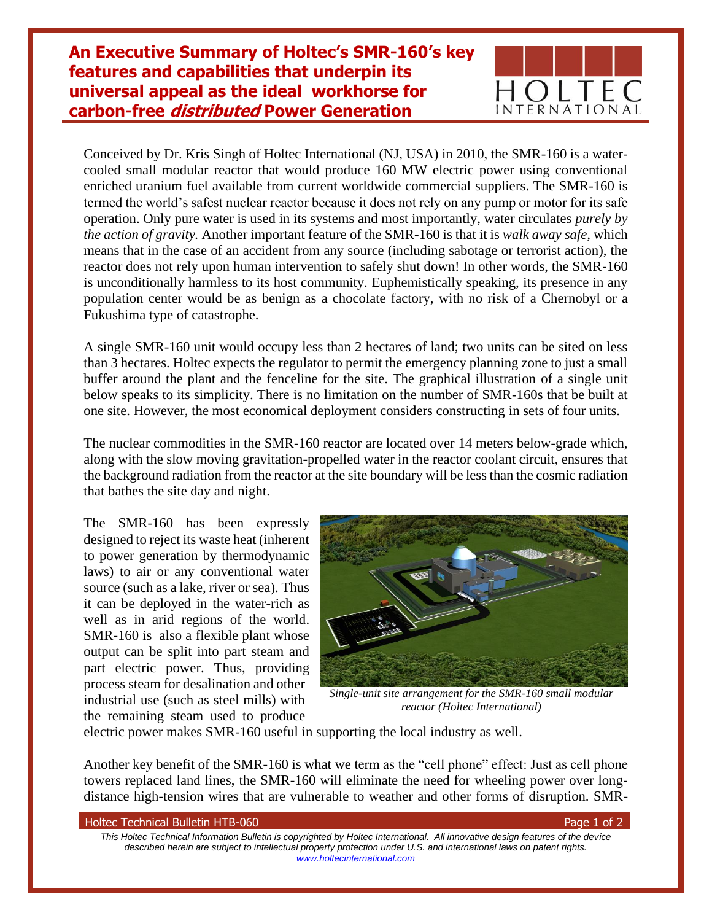**An Executive Summary of Holtec's SMR-160's key features and capabilities that underpin its universal appeal as the ideal workhorse for carbon-free distributed Power Generation** 



Conceived by Dr. Kris Singh of Holtec International (NJ, USA) in 2010, the SMR-160 is a watercooled small modular reactor that would produce 160 MW electric power using conventional enriched uranium fuel available from current worldwide commercial suppliers. The SMR-160 is termed the world's safest nuclear reactor because it does not rely on any pump or motor for its safe operation. Only pure water is used in its systems and most importantly, water circulates *purely by the action of gravity.* Another important feature of the SMR-160 is that it is *walk away safe,* which means that in the case of an accident from any source (including sabotage or terrorist action), the reactor does not rely upon human intervention to safely shut down! In other words, the SMR-160 is unconditionally harmless to its host community. Euphemistically speaking, its presence in any population center would be as benign as a chocolate factory, with no risk of a Chernobyl or a Fukushima type of catastrophe.

A single SMR-160 unit would occupy less than 2 hectares of land; two units can be sited on less than 3 hectares. Holtec expects the regulator to permit the emergency planning zone to just a small buffer around the plant and the fenceline for the site. The graphical illustration of a single unit below speaks to its simplicity. There is no limitation on the number of SMR-160s that be built at one site. However, the most economical deployment considers constructing in sets of four units.

The nuclear commodities in the SMR-160 reactor are located over 14 meters below-grade which, along with the slow moving gravitation-propelled water in the reactor coolant circuit, ensures that the background radiation from the reactor at the site boundary will be less than the cosmic radiation that bathes the site day and night.

The SMR-160 has been expressly designed to reject its waste heat (inherent to power generation by thermodynamic laws) to air or any conventional water source (such as a lake, river or sea). Thus it can be deployed in the water-rich as well as in arid regions of the world. SMR-160 is also a flexible plant whose output can be split into part steam and part electric power. Thus, providing process steam for desalination and other industrial use (such as steel mills) with the remaining steam used to produce



*Single-unit site arrangement for the SMR-160 small modular reactor (Holtec International)*

electric power makes SMR-160 useful in supporting the local industry as well.

Another key benefit of the SMR-160 is what we term as the "cell phone" effect: Just as cell phone towers replaced land lines, the SMR-160 will eliminate the need for wheeling power over longdistance high-tension wires that are vulnerable to weather and other forms of disruption. SMR-

| <b>Holtec Technical Bulletin HTB-060</b> |  |  |  |  |
|------------------------------------------|--|--|--|--|
|------------------------------------------|--|--|--|--|

Page 1 of 2

*This Holtec Technical Information Bulletin is copyrighted by Holtec International. All innovative design features of the device described herein are subject to intellectual property protection under U.S. and international laws on patent rights. [www.holtecinternational.com](http://www.holtecinternational.com/)*